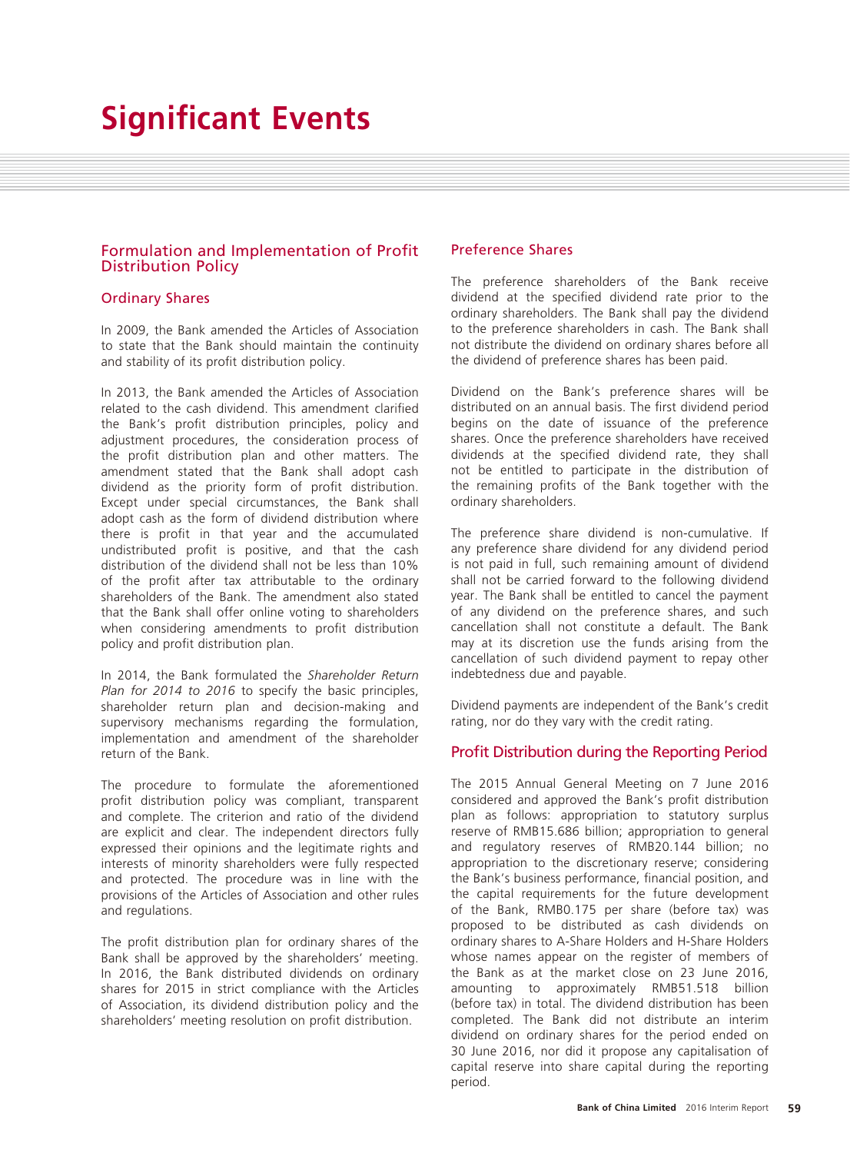# **Significant Events**

# Formulation and Implementation of Profit Distribution Policy

# Ordinary Shares

In 2009, the Bank amended the Articles of Association to state that the Bank should maintain the continuity and stability of its profit distribution policy.

In 2013, the Bank amended the Articles of Association related to the cash dividend. This amendment clarified the Bank's profit distribution principles, policy and adjustment procedures, the consideration process of the profit distribution plan and other matters. The amendment stated that the Bank shall adopt cash dividend as the priority form of profit distribution. Except under special circumstances, the Bank shall adopt cash as the form of dividend distribution where there is profit in that year and the accumulated undistributed profit is positive, and that the cash distribution of the dividend shall not be less than 10% of the profit after tax attributable to the ordinary shareholders of the Bank. The amendment also stated that the Bank shall offer online voting to shareholders when considering amendments to profit distribution policy and profit distribution plan.

In 2014, the Bank formulated the *Shareholder Return Plan for 2014 to 2016* to specify the basic principles, shareholder return plan and decision-making and supervisory mechanisms regarding the formulation, implementation and amendment of the shareholder return of the Bank.

The procedure to formulate the aforementioned profit distribution policy was compliant, transparent and complete. The criterion and ratio of the dividend are explicit and clear. The independent directors fully expressed their opinions and the legitimate rights and interests of minority shareholders were fully respected and protected. The procedure was in line with the provisions of the Articles of Association and other rules and regulations.

The profit distribution plan for ordinary shares of the Bank shall be approved by the shareholders' meeting. In 2016, the Bank distributed dividends on ordinary shares for 2015 in strict compliance with the Articles of Association, its dividend distribution policy and the shareholders' meeting resolution on profit distribution.

# Preference Shares

The preference shareholders of the Bank receive dividend at the specified dividend rate prior to the ordinary shareholders. The Bank shall pay the dividend to the preference shareholders in cash. The Bank shall not distribute the dividend on ordinary shares before all the dividend of preference shares has been paid.

Dividend on the Bank's preference shares will be distributed on an annual basis. The first dividend period begins on the date of issuance of the preference shares. Once the preference shareholders have received dividends at the specified dividend rate, they shall not be entitled to participate in the distribution of the remaining profits of the Bank together with the ordinary shareholders.

The preference share dividend is non-cumulative. If any preference share dividend for any dividend period is not paid in full, such remaining amount of dividend shall not be carried forward to the following dividend year. The Bank shall be entitled to cancel the payment of any dividend on the preference shares, and such cancellation shall not constitute a default. The Bank may at its discretion use the funds arising from the cancellation of such dividend payment to repay other indebtedness due and payable.

Dividend payments are independent of the Bank's credit rating, nor do they vary with the credit rating.

# Profit Distribution during the Reporting Period

The 2015 Annual General Meeting on 7 June 2016 considered and approved the Bank's profit distribution plan as follows: appropriation to statutory surplus reserve of RMB15.686 billion; appropriation to general and regulatory reserves of RMB20.144 billion; no appropriation to the discretionary reserve; considering the Bank's business performance, financial position, and the capital requirements for the future development of the Bank, RMB0.175 per share (before tax) was proposed to be distributed as cash dividends on ordinary shares to A-Share Holders and H-Share Holders whose names appear on the register of members of the Bank as at the market close on 23 June 2016, amounting to approximately RMB51.518 billion (before tax) in total. The dividend distribution has been completed. The Bank did not distribute an interim dividend on ordinary shares for the period ended on 30 June 2016, nor did it propose any capitalisation of capital reserve into share capital during the reporting period.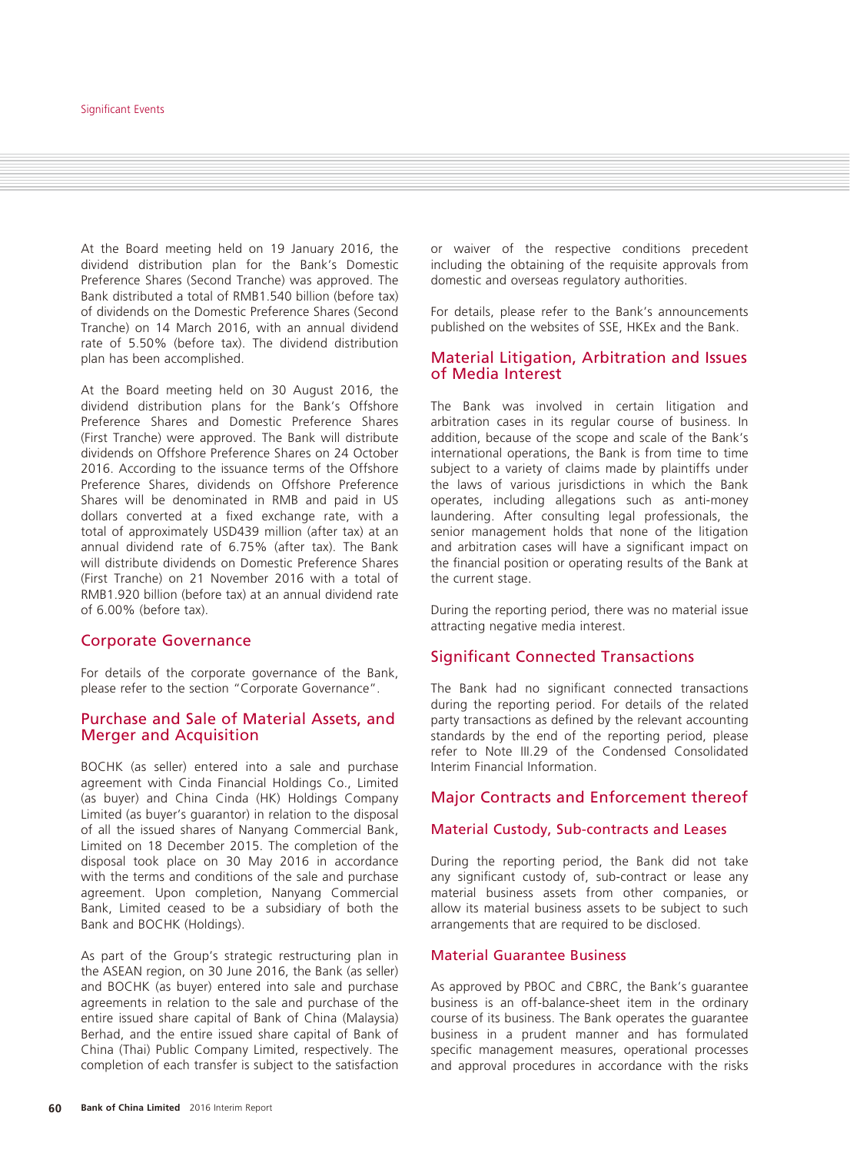At the Board meeting held on 19 January 2016, the dividend distribution plan for the Bank's Domestic Preference Shares (Second Tranche) was approved. The Bank distributed a total of RMB1.540 billion (before tax) of dividends on the Domestic Preference Shares (Second Tranche) on 14 March 2016, with an annual dividend rate of 5.50% (before tax). The dividend distribution plan has been accomplished.

At the Board meeting held on 30 August 2016, the dividend distribution plans for the Bank's Offshore Preference Shares and Domestic Preference Shares (First Tranche) were approved. The Bank will distribute dividends on Offshore Preference Shares on 24 October 2016. According to the issuance terms of the Offshore Preference Shares, dividends on Offshore Preference Shares will be denominated in RMB and paid in US dollars converted at a fixed exchange rate, with a total of approximately USD439 million (after tax) at an annual dividend rate of 6.75% (after tax). The Bank will distribute dividends on Domestic Preference Shares (First Tranche) on 21 November 2016 with a total of RMB1.920 billion (before tax) at an annual dividend rate of 6.00% (before tax).

#### Corporate Governance

For details of the corporate governance of the Bank, please refer to the section "Corporate Governance".

#### Purchase and Sale of Material Assets, and Merger and Acquisition

BOCHK (as seller) entered into a sale and purchase agreement with Cinda Financial Holdings Co., Limited (as buyer) and China Cinda (HK) Holdings Company Limited (as buyer's guarantor) in relation to the disposal of all the issued shares of Nanyang Commercial Bank, Limited on 18 December 2015. The completion of the disposal took place on 30 May 2016 in accordance with the terms and conditions of the sale and purchase agreement. Upon completion, Nanyang Commercial Bank, Limited ceased to be a subsidiary of both the Bank and BOCHK (Holdings).

As part of the Group's strategic restructuring plan in the ASEAN region, on 30 June 2016, the Bank (as seller) and BOCHK (as buyer) entered into sale and purchase agreements in relation to the sale and purchase of the entire issued share capital of Bank of China (Malaysia) Berhad, and the entire issued share capital of Bank of China (Thai) Public Company Limited, respectively. The completion of each transfer is subject to the satisfaction

or waiver of the respective conditions precedent including the obtaining of the requisite approvals from domestic and overseas regulatory authorities.

For details, please refer to the Bank's announcements published on the websites of SSE, HKEx and the Bank.

#### Material Litigation, Arbitration and Issues of Media Interest

The Bank was involved in certain litigation and arbitration cases in its regular course of business. In addition, because of the scope and scale of the Bank's international operations, the Bank is from time to time subject to a variety of claims made by plaintiffs under the laws of various jurisdictions in which the Bank operates, including allegations such as anti-money laundering. After consulting legal professionals, the senior management holds that none of the litigation and arbitration cases will have a significant impact on the financial position or operating results of the Bank at the current stage.

During the reporting period, there was no material issue attracting negative media interest.

#### Significant Connected Transactions

The Bank had no significant connected transactions during the reporting period. For details of the related party transactions as defined by the relevant accounting standards by the end of the reporting period, please refer to Note III.29 of the Condensed Consolidated Interim Financial Information.

#### Major Contracts and Enforcement thereof

#### Material Custody, Sub-contracts and Leases

During the reporting period, the Bank did not take any significant custody of, sub-contract or lease any material business assets from other companies, or allow its material business assets to be subject to such arrangements that are required to be disclosed.

#### Material Guarantee Business

As approved by PBOC and CBRC, the Bank's guarantee business is an off-balance-sheet item in the ordinary course of its business. The Bank operates the guarantee business in a prudent manner and has formulated specific management measures, operational processes and approval procedures in accordance with the risks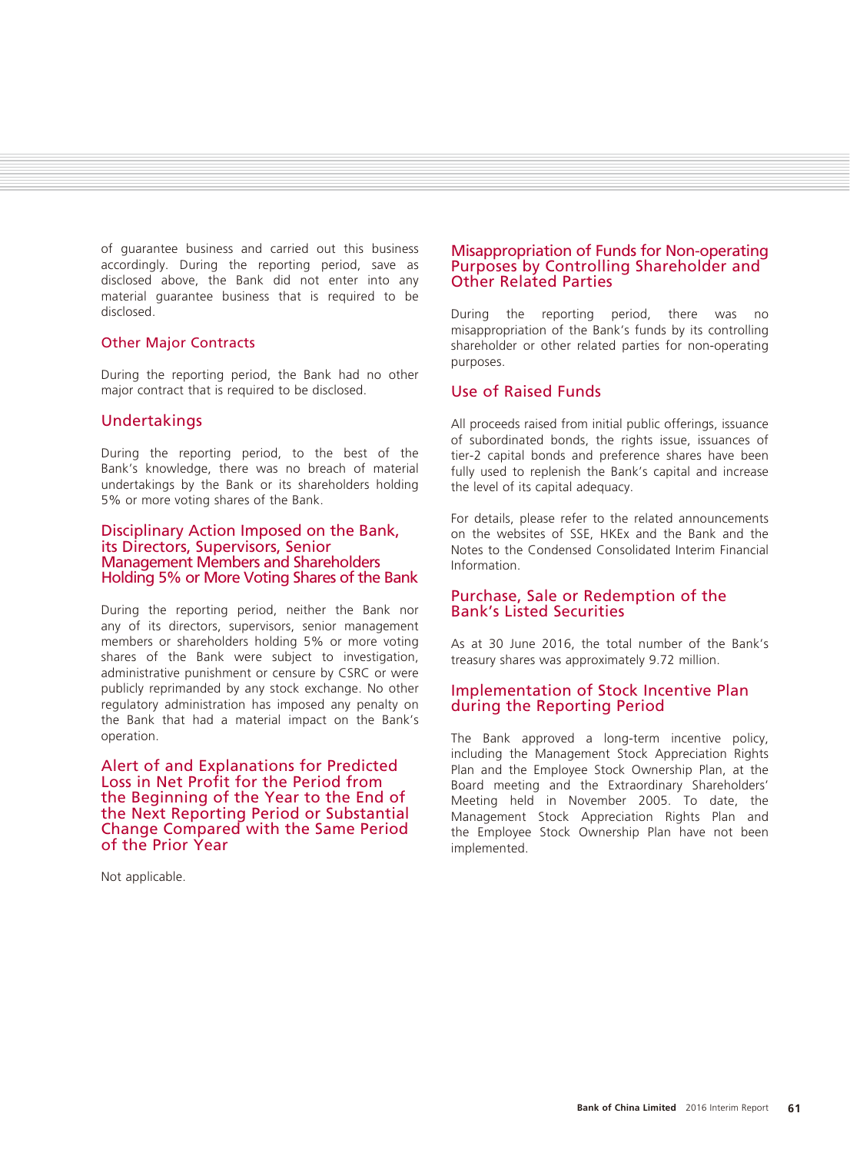of guarantee business and carried out this business accordingly. During the reporting period, save as disclosed above, the Bank did not enter into any material guarantee business that is required to be disclosed.

#### Other Major Contracts

During the reporting period, the Bank had no other major contract that is required to be disclosed.

#### Undertakings

During the reporting period, to the best of the Bank's knowledge, there was no breach of material undertakings by the Bank or its shareholders holding 5% or more voting shares of the Bank.

#### Disciplinary Action Imposed on the Bank, its Directors, Supervisors, Senior Management Members and Shareholders Holding 5% or More Voting Shares of the Bank

During the reporting period, neither the Bank nor any of its directors, supervisors, senior management members or shareholders holding 5% or more voting shares of the Bank were subject to investigation, administrative punishment or censure by CSRC or were publicly reprimanded by any stock exchange. No other regulatory administration has imposed any penalty on the Bank that had a material impact on the Bank's operation.

Alert of and Explanations for Predicted Loss in Net Profit for the Period from the Beginning of the Year to the End of the Next Reporting Period or Substantial Change Compared with the Same Period of the Prior Year

Not applicable.

#### Misappropriation of Funds for Non-operating Purposes by Controlling Shareholder and Other Related Parties

During the reporting period, there was no misappropriation of the Bank's funds by its controlling shareholder or other related parties for non-operating purposes.

#### Use of Raised Funds

All proceeds raised from initial public offerings, issuance of subordinated bonds, the rights issue, issuances of tier-2 capital bonds and preference shares have been fully used to replenish the Bank's capital and increase the level of its capital adequacy.

For details, please refer to the related announcements on the websites of SSE, HKEx and the Bank and the Notes to the Condensed Consolidated Interim Financial Information.

# Purchase, Sale or Redemption of the Bank's Listed Securities

As at 30 June 2016, the total number of the Bank's treasury shares was approximately 9.72 million.

# Implementation of Stock Incentive Plan during the Reporting Period

The Bank approved a long-term incentive policy, including the Management Stock Appreciation Rights Plan and the Employee Stock Ownership Plan, at the Board meeting and the Extraordinary Shareholders' Meeting held in November 2005. To date, the Management Stock Appreciation Rights Plan and the Employee Stock Ownership Plan have not been implemented.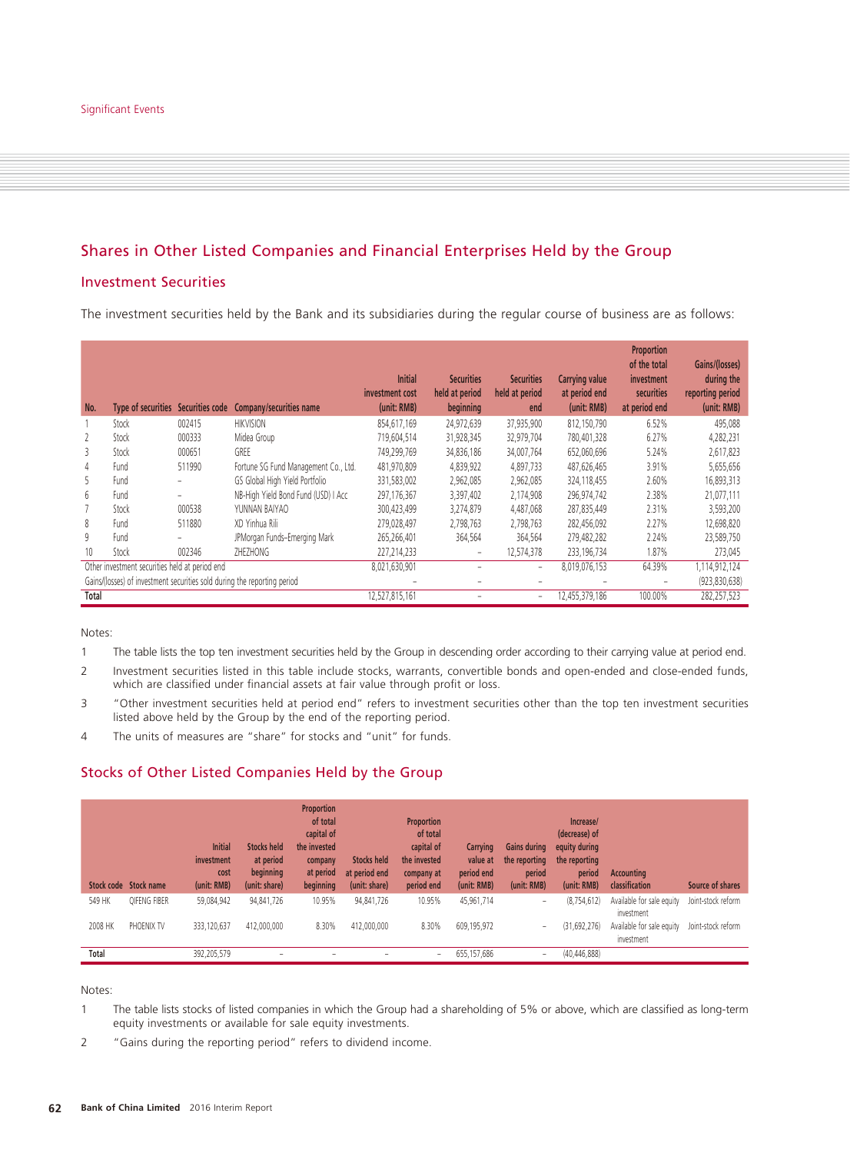# Shares in Other Listed Companies and Financial Enterprises Held by the Group

# Investment Securities

The investment securities held by the Bank and its subsidiaries during the regular course of business are as follows:

| No.                                            | <b>Type of securities</b> | Securities code | Company/securities name                                                  | <b>Initial</b><br>investment cost<br>(unit: RMB) | <b>Securities</b><br>held at period<br>beginning | <b>Securities</b><br>held at period<br>end | <b>Carrying value</b><br>at period end<br>(unit: RMB) | Proportion<br>of the total<br>investment<br>securities<br>at period end | Gains/(losses)<br>during the<br>reporting period<br>(unit: RMB) |
|------------------------------------------------|---------------------------|-----------------|--------------------------------------------------------------------------|--------------------------------------------------|--------------------------------------------------|--------------------------------------------|-------------------------------------------------------|-------------------------------------------------------------------------|-----------------------------------------------------------------|
|                                                | Stock                     | 002415          | <b>HIKVISION</b>                                                         | 854,617,169                                      | 24,972,639                                       | 37,935,900                                 | 812,150,790                                           | 6.52%                                                                   | 495,088                                                         |
| 2                                              | Stock                     | 000333          | Midea Group                                                              | 719,604,514                                      | 31,928,345                                       | 32,979,704                                 | 780,401,328                                           | 6.27%                                                                   | 4,282,231                                                       |
| 3                                              | Stock                     | 000651          | GREE                                                                     | 749,299,769                                      | 34,836,186                                       | 34,007,764                                 | 652,060,696                                           | 5.24%                                                                   | 2,617,823                                                       |
| 4                                              | Fund                      | 511990          | Fortune SG Fund Management Co., Ltd.                                     | 481,970,809                                      | 4,839,922                                        | 4,897,733                                  | 487,626,465                                           | 3.91%                                                                   | 5,655,656                                                       |
| 5                                              | Fund                      |                 | GS Global High Yield Portfolio                                           | 331,583,002                                      | 2,962,085                                        | 2,962,085                                  | 324,118,455                                           | 2.60%                                                                   | 16,893,313                                                      |
| 6                                              | Fund                      |                 | NB-High Yield Bond Fund (USD) I Acc                                      | 297,176,367                                      | 3,397,402                                        | 2,174,908                                  | 296,974,742                                           | 2.38%                                                                   | 21,077,111                                                      |
|                                                | Stock                     | 000538          | YUNNAN BAIYAO                                                            | 300,423,499                                      | 3,274,879                                        | 4,487,068                                  | 287,835,449                                           | 2.31%                                                                   | 3,593,200                                                       |
| 8                                              | Fund                      | 511880          | XD Yinhua Rili                                                           | 279,028,497                                      | 2,798,763                                        | 2,798,763                                  | 282,456,092                                           | 2.27%                                                                   | 12,698,820                                                      |
| 9                                              | Fund                      |                 | JPMorgan Funds-Emerging Mark                                             | 265,266,401                                      | 364,564                                          | 364,564                                    | 279,482,282                                           | 2.24%                                                                   | 23,589,750                                                      |
| 10                                             | Stock                     | 002346          | ZHEZHONG                                                                 | 227,214,233                                      | $\overline{\phantom{a}}$                         | 12,574,378                                 | 233, 196, 734                                         | 1.87%                                                                   | 273,045                                                         |
| Other investment securities held at period end |                           |                 |                                                                          | 8,021,630,901                                    |                                                  | $\overline{\phantom{a}}$                   | 8,019,076,153                                         | 64.39%                                                                  | 1,114,912,124                                                   |
|                                                |                           |                 | Gains/(losses) of investment securities sold during the reporting period |                                                  |                                                  |                                            |                                                       |                                                                         | (923, 830, 638)                                                 |
| Total                                          |                           |                 |                                                                          | 12,527,815,161                                   |                                                  | $\overline{\phantom{a}}$                   | 12,455,379,186                                        | 100.00%                                                                 | 282,257,523                                                     |

Notes:

1 The table lists the top ten investment securities held by the Group in descending order according to their carrying value at period end.

- 2 Investment securities listed in this table include stocks, warrants, convertible bonds and open-ended and close-ended funds, which are classified under financial assets at fair value through profit or loss.
- 3 "Other investment securities held at period end" refers to investment securities other than the top ten investment securities listed above held by the Group by the end of the reporting period.
- 4 The units of measures are "share" for stocks and "unit" for funds.

# Stocks of Other Listed Companies Held by the Group

|              | Stock code Stock name | <b>Initial</b><br>investment<br>cost<br>(unit: RMB) | <b>Stocks held</b><br>at period<br>beginning<br>(unit: share) | <b>Proportion</b><br>of total<br>capital of<br>the invested<br>company<br>at period<br>beginning | <b>Stocks held</b><br>at period end<br>(unit: share) | <b>Proportion</b><br>of total<br>capital of<br>the invested<br>company at<br>period end | Carrying<br>value at<br>period end<br>(unit: RMB) | <b>Gains during</b><br>the reporting<br>period<br>(unit: RMB) | Increase/<br>(decrease) of<br>equity during<br>the reporting<br>period<br>(unit: RMB) | <b>Accounting</b><br>classification     | Source of shares   |
|--------------|-----------------------|-----------------------------------------------------|---------------------------------------------------------------|--------------------------------------------------------------------------------------------------|------------------------------------------------------|-----------------------------------------------------------------------------------------|---------------------------------------------------|---------------------------------------------------------------|---------------------------------------------------------------------------------------|-----------------------------------------|--------------------|
| 549 HK       | OIFENG FIBER          | 59,084,942                                          | 94,841,726                                                    | 10.95%                                                                                           | 94.841.726                                           | 10.95%                                                                                  | 45,961,714                                        | ۰                                                             | (8, 754, 612)                                                                         | Available for sale equity<br>investment | Joint-stock reform |
| 2008 HK      | PHOENIX TV            | 333,120,637                                         | 412,000,000                                                   | 8.30%                                                                                            | 412,000,000                                          | 8.30%                                                                                   | 609,195,972                                       | $\overline{\phantom{a}}$                                      | (31,692,276)                                                                          | Available for sale equity<br>investment | Joint-stock reform |
| <b>Total</b> |                       | 392,205,579                                         | -                                                             | -                                                                                                |                                                      | ٠                                                                                       | 655,157,686                                       | $\overline{\phantom{a}}$                                      | (40, 446, 888)                                                                        |                                         |                    |

Notes:

- 1 The table lists stocks of listed companies in which the Group had a shareholding of 5% or above, which are classified as long-term equity investments or available for sale equity investments.
- 2 "Gains during the reporting period" refers to dividend income.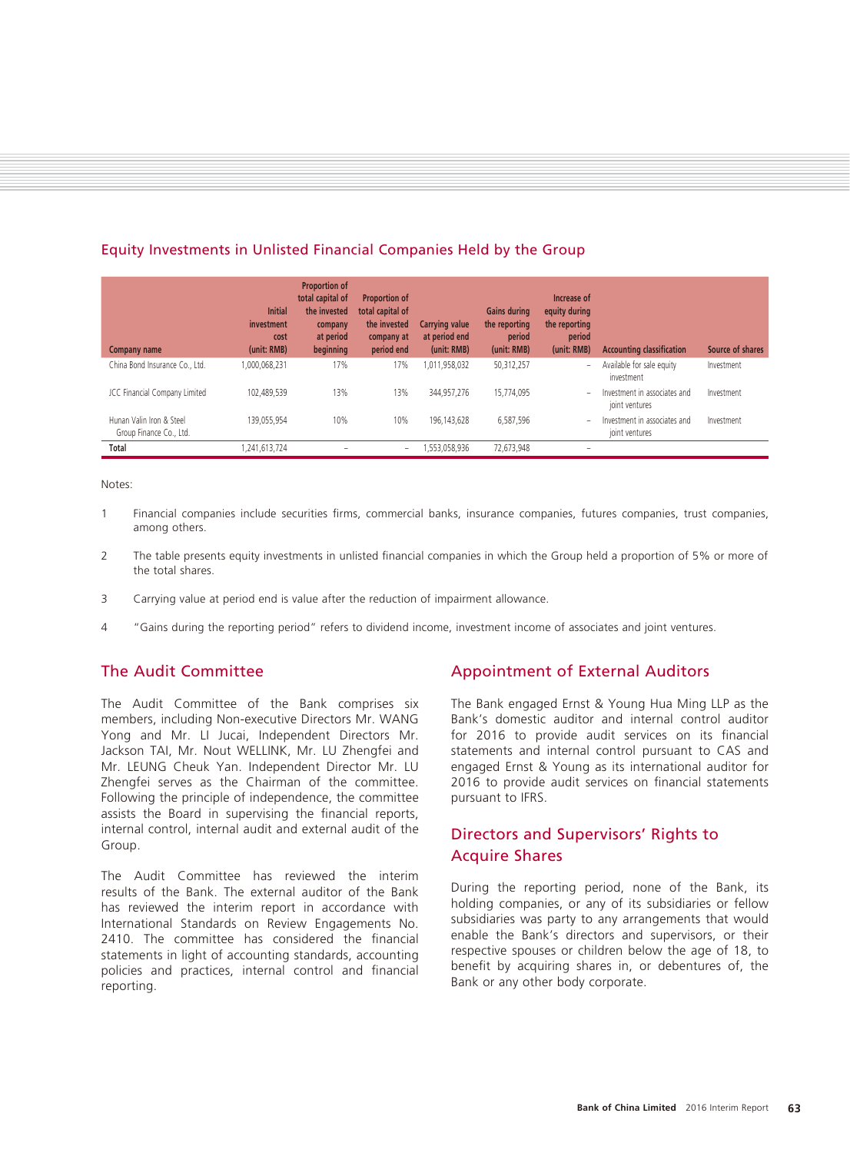| Equity Investments in Unlisted Financial Companies Held by the Group |  |
|----------------------------------------------------------------------|--|
|----------------------------------------------------------------------|--|

| Company name                                        | <b>Initial</b><br>investment<br>cost<br>(unit: RMB) | <b>Proportion of</b><br>total capital of<br>the invested<br>company<br>at period<br>beginning | <b>Proportion of</b><br>total capital of<br>the invested<br>company at<br>period end | Carrying value<br>at period end<br>(unit: RMB) | <b>Gains during</b><br>the reporting<br>period<br>(unit: RMB) | Increase of<br>equity during<br>the reporting<br>period<br>(unit: RMB) | <b>Accounting classification</b>               | Source of shares |
|-----------------------------------------------------|-----------------------------------------------------|-----------------------------------------------------------------------------------------------|--------------------------------------------------------------------------------------|------------------------------------------------|---------------------------------------------------------------|------------------------------------------------------------------------|------------------------------------------------|------------------|
| China Bond Insurance Co., Ltd.                      | 1,000,068,231                                       | 17%                                                                                           | 17%                                                                                  | 011,958,032                                    | 50.312.257                                                    | -                                                                      | Available for sale equity<br>investment        | Investment       |
| JCC Financial Company Limited                       | 102.489.539                                         | 13%                                                                                           | 13%                                                                                  | 344.957.276                                    | 15.774.095                                                    | ۰                                                                      | Investment in associates and<br>joint ventures | Investment       |
| Hunan Valin Iron & Steel<br>Group Finance Co., Ltd. | 139.055.954                                         | 10%                                                                                           | 10%                                                                                  | 196.143.628                                    | 6,587,596                                                     | ۰                                                                      | Investment in associates and<br>joint ventures | Investment       |
| Total                                               | ,241,613,724                                        | -                                                                                             | -                                                                                    | ,553,058,936                                   | 72,673,948                                                    | -                                                                      |                                                |                  |

Notes:

- 1 Financial companies include securities firms, commercial banks, insurance companies, futures companies, trust companies, among others.
- 2 The table presents equity investments in unlisted financial companies in which the Group held a proportion of 5% or more of the total shares.
- 3 Carrying value at period end is value after the reduction of impairment allowance.
- 4 "Gains during the reporting period" refers to dividend income, investment income of associates and joint ventures.

# The Audit Committee

The Audit Committee of the Bank comprises six members, including Non-executive Directors Mr. WANG Yong and Mr. LI Jucai, Independent Directors Mr. Jackson TAI, Mr. Nout WELLINK, Mr. LU Zhengfei and Mr. LEUNG Cheuk Yan. Independent Director Mr. LU Zhengfei serves as the Chairman of the committee. Following the principle of independence, the committee assists the Board in supervising the financial reports, internal control, internal audit and external audit of the Group.

The Audit Committee has reviewed the interim results of the Bank. The external auditor of the Bank has reviewed the interim report in accordance with International Standards on Review Engagements No. 2410. The committee has considered the financial statements in light of accounting standards, accounting policies and practices, internal control and financial reporting.

# Appointment of External Auditors

The Bank engaged Ernst & Young Hua Ming LLP as the Bank's domestic auditor and internal control auditor for 2016 to provide audit services on its financial statements and internal control pursuant to CAS and engaged Ernst & Young as its international auditor for 2016 to provide audit services on financial statements pursuant to IFRS.

# Directors and Supervisors' Rights to Acquire Shares

During the reporting period, none of the Bank, its holding companies, or any of its subsidiaries or fellow subsidiaries was party to any arrangements that would enable the Bank's directors and supervisors, or their respective spouses or children below the age of 18, to benefit by acquiring shares in, or debentures of, the Bank or any other body corporate.